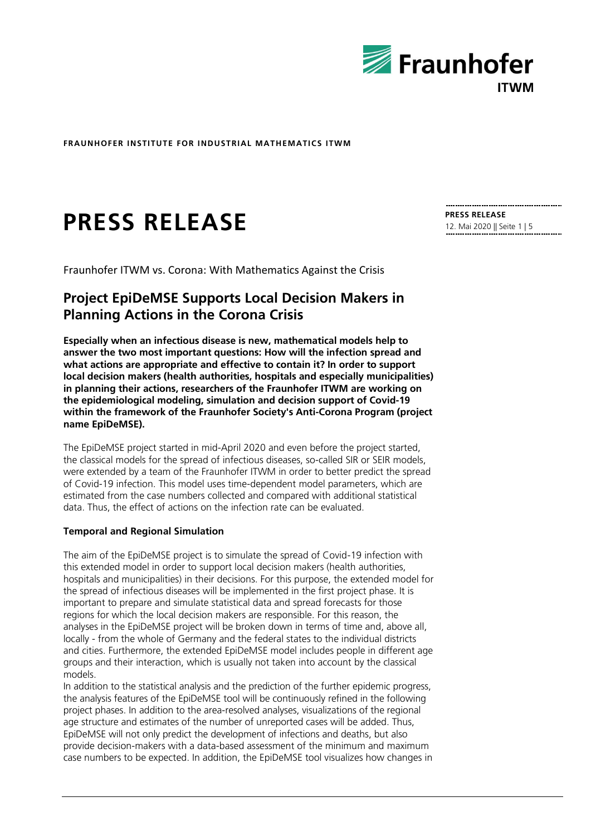

# **PRESS RELEASE PRESS RELEASE PRESS RELEASE**

Fraunhofer ITWM vs. Corona: With Mathematics Against the Crisis

## **Project EpiDeMSE Supports Local Decision Makers in Planning Actions in the Corona Crisis**

**Especially when an infectious disease is new, mathematical models help to answer the two most important questions: How will the infection spread and what actions are appropriate and effective to contain it? In order to support local decision makers (health authorities, hospitals and especially municipalities) in planning their actions, researchers of the Fraunhofer ITWM are working on the epidemiological modeling, simulation and decision support of Covid-19 within the framework of the Fraunhofer Society's Anti-Corona Program (project name EpiDeMSE).**

The EpiDeMSE project started in mid-April 2020 and even before the project started, the classical models for the spread of infectious diseases, so-called SIR or SEIR models, were extended by a team of the Fraunhofer ITWM in order to better predict the spread of Covid-19 infection. This model uses time-dependent model parameters, which are estimated from the case numbers collected and compared with additional statistical data. Thus, the effect of actions on the infection rate can be evaluated.

## **Temporal and Regional Simulation**

The aim of the EpiDeMSE project is to simulate the spread of Covid-19 infection with this extended model in order to support local decision makers (health authorities, hospitals and municipalities) in their decisions. For this purpose, the extended model for the spread of infectious diseases will be implemented in the first project phase. It is important to prepare and simulate statistical data and spread forecasts for those regions for which the local decision makers are responsible. For this reason, the analyses in the EpiDeMSE project will be broken down in terms of time and, above all, locally - from the whole of Germany and the federal states to the individual districts and cities. Furthermore, the extended EpiDeMSE model includes people in different age groups and their interaction, which is usually not taken into account by the classical models.

In addition to the statistical analysis and the prediction of the further epidemic progress, the analysis features of the EpiDeMSE tool will be continuously refined in the following project phases. In addition to the area-resolved analyses, visualizations of the regional age structure and estimates of the number of unreported cases will be added. Thus, EpiDeMSE will not only predict the development of infections and deaths, but also provide decision-makers with a data-based assessment of the minimum and maximum case numbers to be expected. In addition, the EpiDeMSE tool visualizes how changes in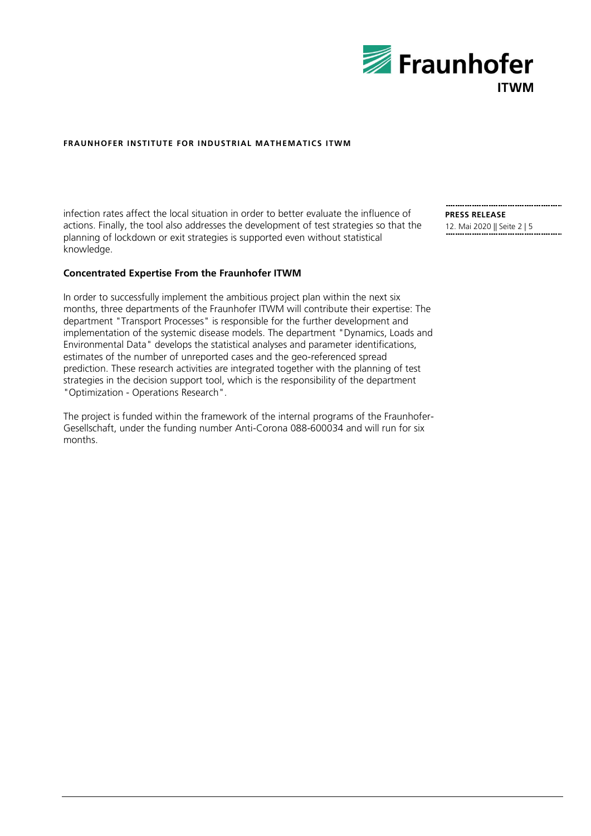

infection rates affect the local situation in order to better evaluate the influence of actions. Finally, the tool also addresses the development of test strategies so that the planning of lockdown or exit strategies is supported even without statistical knowledge.

## **Concentrated Expertise From the Fraunhofer ITWM**

In order to successfully implement the ambitious project plan within the next six months, three departments of the Fraunhofer ITWM will contribute their expertise: The department "Transport Processes" is responsible for the further development and implementation of the systemic disease models. The department "Dynamics, Loads and Environmental Data" develops the statistical analyses and parameter identifications, estimates of the number of unreported cases and the geo-referenced spread prediction. These research activities are integrated together with the planning of test strategies in the decision support tool, which is the responsibility of the department "Optimization - Operations Research".

The project is funded within the framework of the internal programs of the Fraunhofer-Gesellschaft, under the funding number Anti-Corona 088-600034 and will run for six months.

**PRESS RELEASE** 12. Mai 2020 || Seite 2 | 5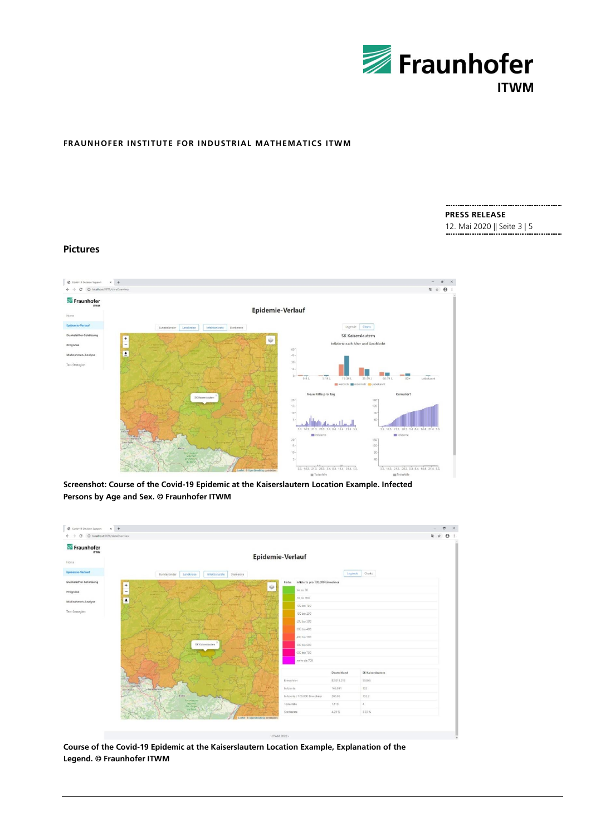

#### **PRESS RELEASE**

12. Mai 2020 || Seite 3 | 5

## **Pictures**



**Screenshot: Course of the Covid-19 Epidemic at the Kaiserslautern Location Example. Infected Persons by Age and Sex. © Fraunhofer ITWM**



**Course of the Covid-19 Epidemic at the Kaiserslautern Location Example, Explanation of the Legend. © Fraunhofer ITWM**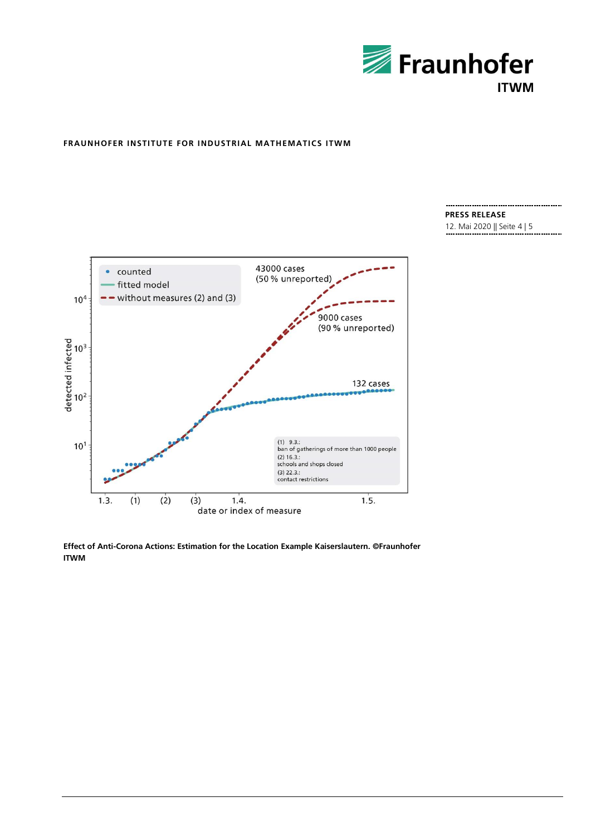

![](_page_3_Figure_2.jpeg)

## **PRESS RELEASE** 12. Mai 2020 || Seite 4 | 5

**Effect of Anti-Corona Actions: Estimation for the Location Example Kaiserslautern. ©Fraunhofer ITWM**